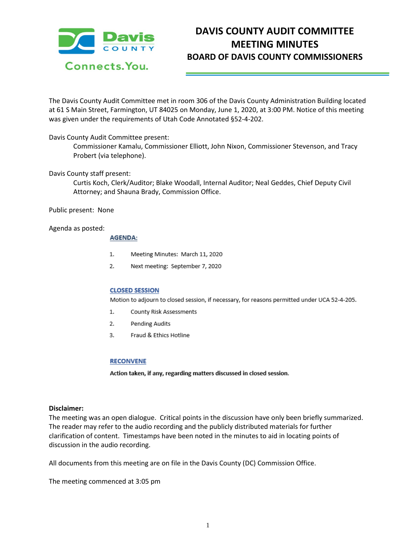

# **DAVIS COUNTY AUDIT COMMITTEE MEETING MINUTES BOARD OF DAVIS COUNTY COMMISSIONERS**

The Davis County Audit Committee met in room 306 of the Davis County Administration Building located at 61 S Main Street, Farmington, UT 84025 on Monday, June 1, 2020, at 3:00 PM. Notice of this meeting was given under the requirements of Utah Code Annotated §52-4-202.

## Davis County Audit Committee present:

Commissioner Kamalu, Commissioner Elliott, John Nixon, Commissioner Stevenson, and Tracy Probert (via telephone).

## Davis County staff present:

Curtis Koch, Clerk/Auditor; Blake Woodall, Internal Auditor; Neal Geddes, Chief Deputy Civil Attorney; and Shauna Brady, Commission Office.

Public present: None

#### Agenda as posted:

#### **AGENDA:**

- 1. Meeting Minutes: March 11, 2020
- $2.$ Next meeting: September 7, 2020

#### **CLOSED SESSION**

Motion to adjourn to closed session, if necessary, for reasons permitted under UCA 52-4-205.

- 1. County Risk Assessments
- 2. Pending Audits
- 3. Fraud & Ethics Hotline

#### **RECONVENE**

Action taken, if any, regarding matters discussed in closed session.

#### **Disclaimer:**

The meeting was an open dialogue. Critical points in the discussion have only been briefly summarized. The reader may refer to the audio recording and the publicly distributed materials for further clarification of content. Timestamps have been noted in the minutes to aid in locating points of discussion in the audio recording.

All documents from this meeting are on file in the Davis County (DC) Commission Office.

The meeting commenced at 3:05 pm